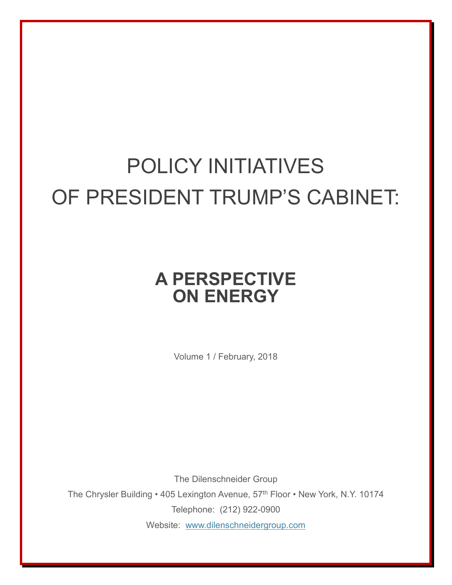## POLICY INITIATIVES OF PRESIDENT TRUMP'S CABINET:

## **A PERSPECTIVE ON ENERGY**

Volume 1 / February, 2018

The Dilenschneider Group The Chrysler Building • 405 Lexington Avenue, 57<sup>th</sup> Floor • New York, N.Y. 10174 Telephone: (212) 922-0900 Website: [www.dilenschneidergroup.com](http://www.dilenschneidergroup.com/)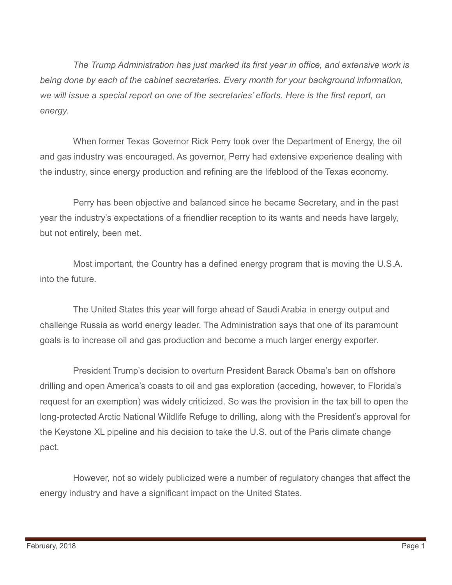*The Trump Administration has just marked its first year in office, and extensive work is being done by each of the cabinet secretaries. Every month for your background information, we will issue a special report on one of the secretaries' efforts. Here is the first report, on energy.*

When former Texas Governor Rick Perry took over the Department of Energy, the oil and gas industry was encouraged. As governor, Perry had extensive experience dealing with the industry, since energy production and refining are the lifeblood of the Texas economy.

Perry has been objective and balanced since he became Secretary, and in the past year the industry's expectations of a friendlier reception to its wants and needs have largely, but not entirely, been met.

Most important, the Country has a defined energy program that is moving the U.S.A. into the future.

The United States this year will forge ahead of Saudi Arabia in energy output and challenge Russia as world energy leader. The Administration says that one of its paramount goals is to increase oil and gas production and become a much larger energy exporter.

President Trump's decision to overturn President Barack Obama's ban on offshore drilling and open America's coasts to oil and gas exploration (acceding, however, to Florida's request for an exemption) was widely criticized. So was the provision in the tax bill to open the long-protected Arctic National Wildlife Refuge to drilling, along with the President's approval for the Keystone XL pipeline and his decision to take the U.S. out of the Paris climate change pact.

However, not so widely publicized were a number of regulatory changes that affect the energy industry and have a significant impact on the United States.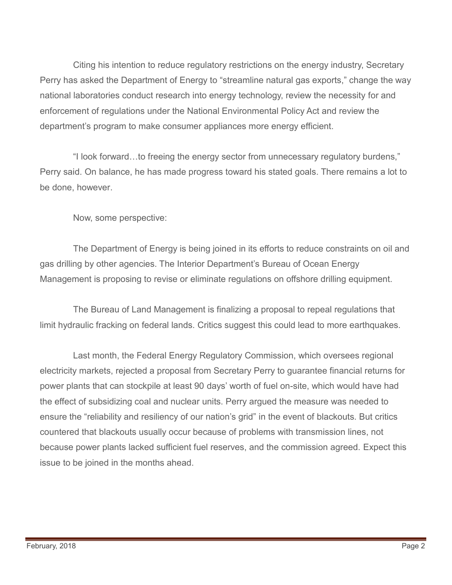Citing his intention to reduce regulatory restrictions on the energy industry, Secretary Perry has asked the Department of Energy to "streamline natural gas exports," change the way national laboratories conduct research into energy technology, review the necessity for and enforcement of regulations under the National Environmental Policy Act and review the department's program to make consumer appliances more energy efficient.

"I look forward…to freeing the energy sector from unnecessary regulatory burdens," Perry said. On balance, he has made progress toward his stated goals. There remains a lot to be done, however.

Now, some perspective:

The Department of Energy is being joined in its efforts to reduce constraints on oil and gas drilling by other agencies. The Interior Department's Bureau of Ocean Energy Management is proposing to revise or eliminate regulations on offshore drilling equipment.

The Bureau of Land Management is finalizing a proposal to repeal regulations that limit hydraulic fracking on federal lands. Critics suggest this could lead to more earthquakes.

Last month, the Federal Energy Regulatory Commission, which oversees regional electricity markets, rejected a proposal from Secretary Perry to guarantee financial returns for power plants that can stockpile at least 90 days' worth of fuel on-site, which would have had the effect of subsidizing coal and nuclear units. Perry argued the measure was needed to ensure the "reliability and resiliency of our nation's grid" in the event of blackouts. But critics countered that blackouts usually occur because of problems with transmission lines, not because power plants lacked sufficient fuel reserves, and the commission agreed. Expect this issue to be joined in the months ahead.